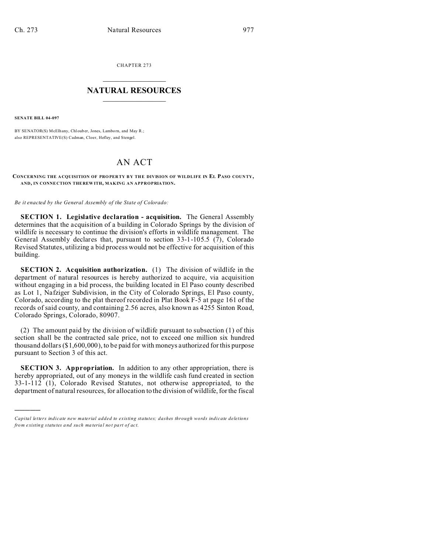CHAPTER 273  $\overline{\phantom{a}}$  , where  $\overline{\phantom{a}}$ 

## **NATURAL RESOURCES**  $\frac{1}{\sqrt{2}}$  ,  $\frac{1}{\sqrt{2}}$  ,  $\frac{1}{\sqrt{2}}$  ,  $\frac{1}{\sqrt{2}}$  ,  $\frac{1}{\sqrt{2}}$  ,  $\frac{1}{\sqrt{2}}$

**SENATE BILL 04-097**

)))))

BY SENATOR(S) McElhany, Chlouber, Jones, Lamborn, and May R.; also REPRESENTATIVE(S) Cadman, Cloer, Hefley, and Stengel.

## AN ACT

## **CONCERNING THE A CQUISITION OF PRO PER TY B Y THE DIVISION OF WILDLIFE IN EL PASO COUN TY, AND, IN CONNE CTION THE REW ITH, MAKING AN APPROPRIATION.**

*Be it enacted by the General Assembly of the State of Colorado:*

**SECTION 1. Legislative declaration - acquisition.** The General Assembly determines that the acquisition of a building in Colorado Springs by the division of wildlife is necessary to continue the division's efforts in wildlife management. The General Assembly declares that, pursuant to section 33-1-105.5 (7), Colorado Revised Statutes, utilizing a bid process would not be effective for acquisition of this building.

**SECTION 2. Acquisition authorization.** (1) The division of wildlife in the department of natural resources is hereby authorized to acquire, via acquisition without engaging in a bid process, the building located in El Paso county described as Lot 1, Nafziger Subdivision, in the City of Colorado Springs, El Paso county, Colorado, according to the plat thereof recorded in Plat Book F-5 at page 161 of the records of said county, and containing 2.56 acres, also known as 4255 Sinton Road, Colorado Springs, Colorado, 80907.

(2) The amount paid by the division of wildlife pursuant to subsection (1) of this section shall be the contracted sale price, not to exceed one million six hundred thousand dollars (\$1,600,000), to be paid for with moneys authorized for this purpose pursuant to Section 3 of this act.

**SECTION 3. Appropriation.** In addition to any other appropriation, there is hereby appropriated, out of any moneys in the wildlife cash fund created in section 33-1-112 (1), Colorado Revised Statutes, not otherwise appropriated, to the department of natural resources, for allocation to the division of wildlife, for the fiscal

*Capital letters indicate new material added to existing statutes; dashes through words indicate deletions from e xistin g statu tes a nd such ma teria l no t pa rt of ac t.*